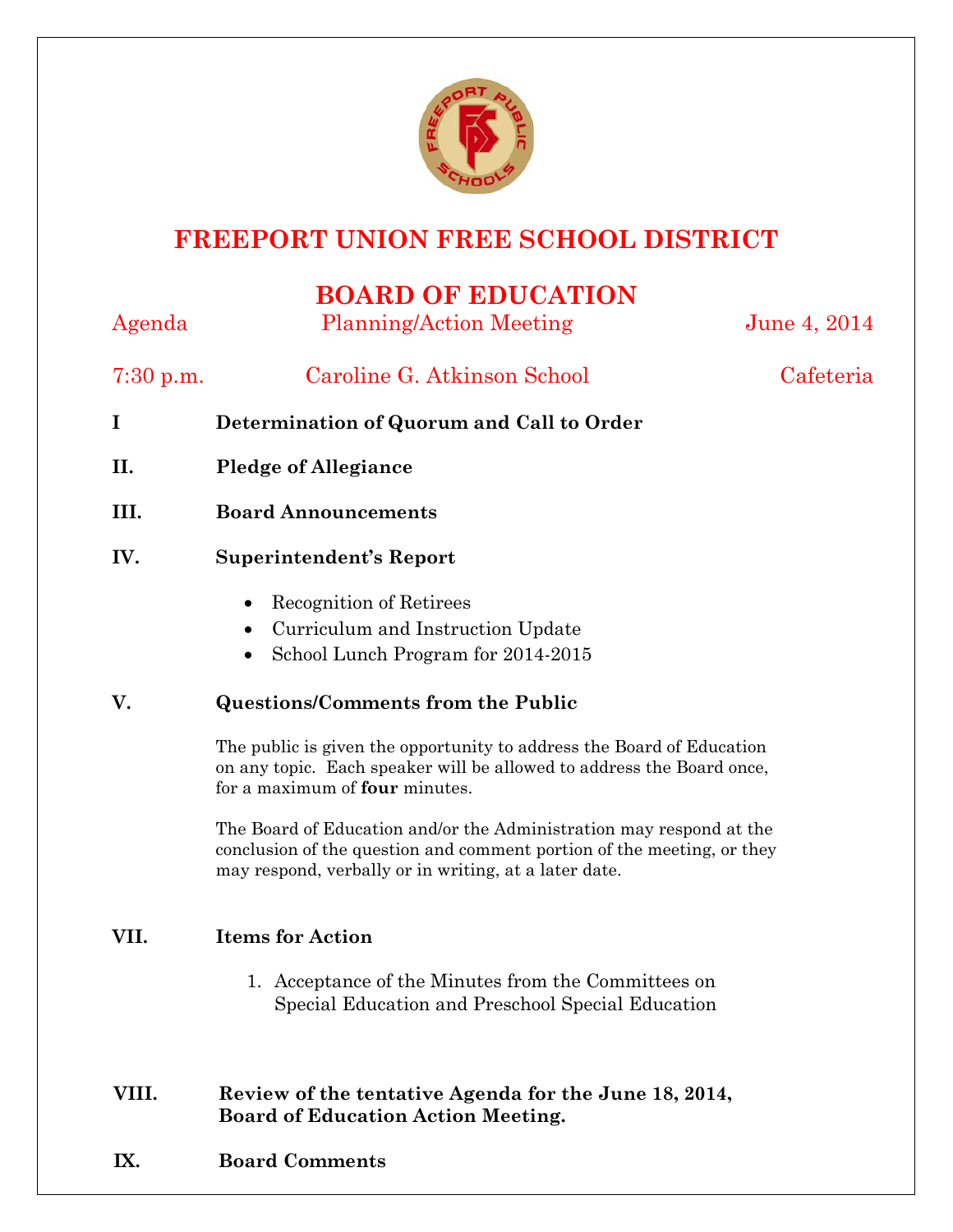

# **FREEPORT UNION FREE SCHOOL DISTRICT**

## **BOARD OF EDUCATION**

Agenda Planning/Action Meeting June 4, 2014 7:30 p.m. Caroline G. Atkinson School Cafeteria **I Determination of Quorum and Call to Order II. Pledge of Allegiance III. Board Announcements IV. Superintendent's Report**  • Recognition of Retirees • Curriculum and Instruction Update • School Lunch Program for 2014-2015 **V. Questions/Comments from the Public** The public is given the opportunity to address the Board of Education on any topic. Each speaker will be allowed to address the Board once, for a maximum of **four** minutes. The Board of Education and/or the Administration may respond at the conclusion of the question and comment portion of the meeting, or they may respond, verbally or in writing, at a later date. **VII. Items for Action** 1. Acceptance of the Minutes from the Committees on Special Education and Preschool Special Education **VIII. Review of the tentative Agenda for the June 18, 2014, Board of Education Action Meeting.**

**IX. Board Comments**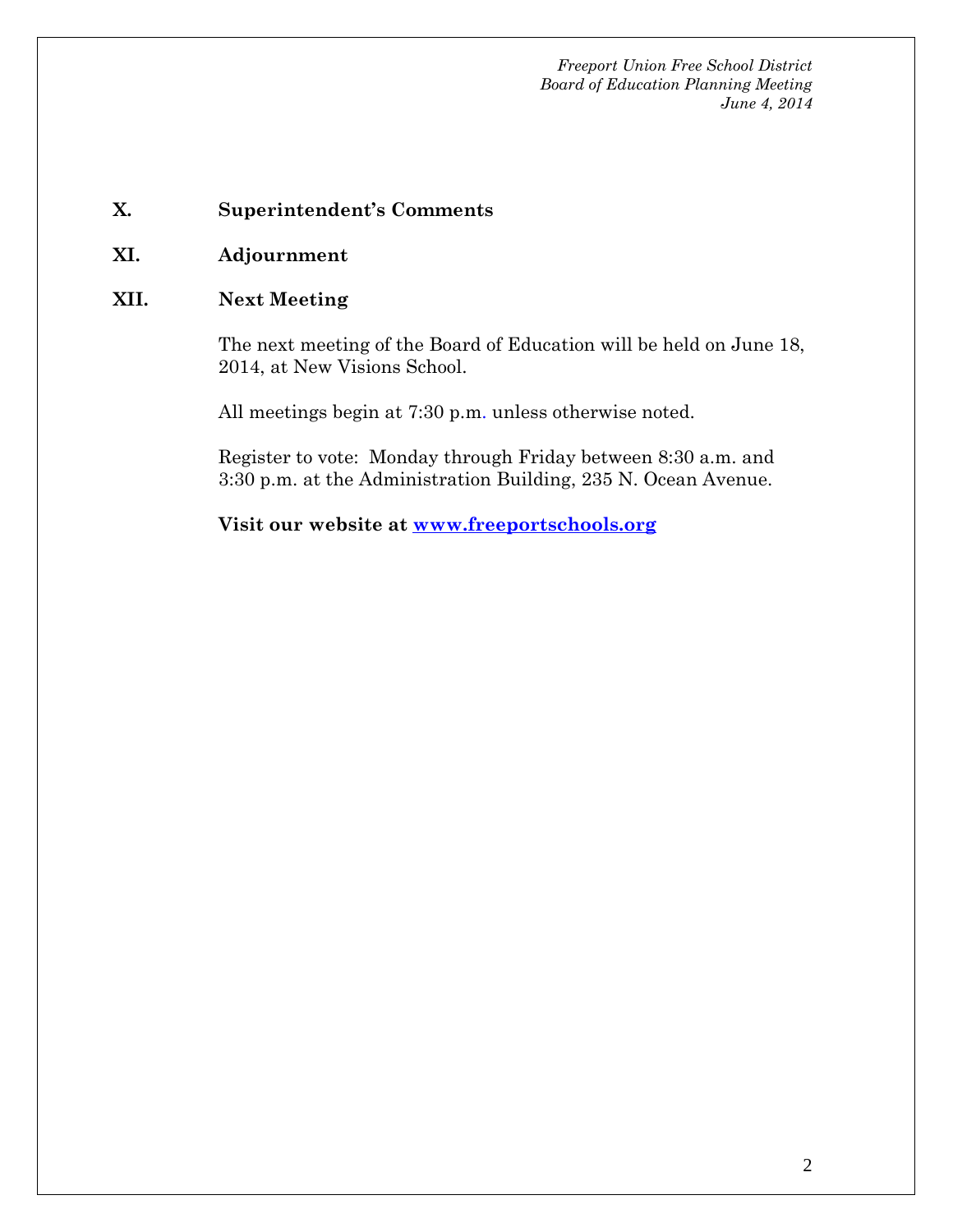*Freeport Union Free School District Board of Education Planning Meeting June 4, 2014*

#### **X. Superintendent's Comments**

**XI. Adjournment**

#### **XII. Next Meeting**

The next meeting of the Board of Education will be held on June 18, 2014, at New Visions School.

All meetings begin at 7:30 p.m. unless otherwise noted.

Register to vote: Monday through Friday between 8:30 a.m. and 3:30 p.m. at the Administration Building, 235 N. Ocean Avenue.

**Visit our website at [www.freeportschools.org](http://www.freeportschools.org/)**